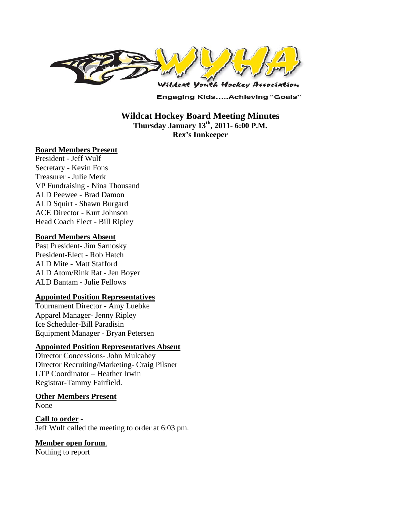

**Engaging Kids.....Achieving "Goals"** 

**Wildcat Hockey Board Meeting Minutes Thursday January 13th, 2011- 6:00 P.M. Rex's Innkeeper** 

#### **Board Members Present**

President - Jeff Wulf Secretary - Kevin Fons Treasurer - Julie Merk VP Fundraising - Nina Thousand ALD Peewee - Brad Damon ALD Squirt - Shawn Burgard ACE Director - Kurt Johnson Head Coach Elect - Bill Ripley

#### **Board Members Absent**

Past President- Jim Sarnosky President-Elect - Rob Hatch ALD Mite - Matt Stafford ALD Atom/Rink Rat - Jen Boyer ALD Bantam - Julie Fellows

#### **Appointed Position Representatives**

Tournament Director - Amy Luebke Apparel Manager- Jenny Ripley Ice Scheduler-Bill Paradisin Equipment Manager - Bryan Petersen

#### **Appointed Position Representatives Absent**

Director Concessions- John Mulcahey Director Recruiting/Marketing- Craig Pilsner LTP Coordinator – Heather Irwin Registrar-Tammy Fairfield.

#### **Other Members Present**

None

**Call to order** - Jeff Wulf called the meeting to order at 6:03 pm.

#### **Member open forum**.

Nothing to report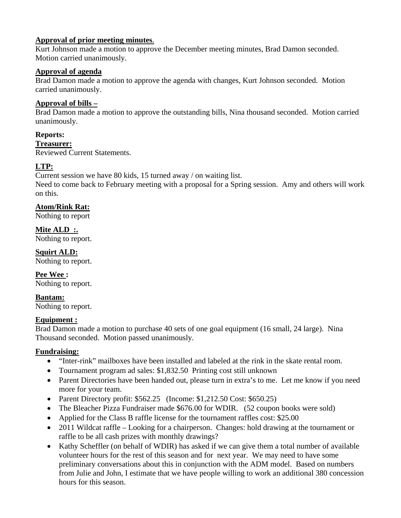# **Approval of prior meeting minutes**.

Kurt Johnson made a motion to approve the December meeting minutes, Brad Damon seconded. Motion carried unanimously.

# **Approval of agenda**

Brad Damon made a motion to approve the agenda with changes, Kurt Johnson seconded. Motion carried unanimously.

# **Approval of bills –**

Brad Damon made a motion to approve the outstanding bills, Nina thousand seconded. Motion carried unanimously.

# **Reports:**

**Treasurer:**  Reviewed Current Statements.

# **LTP:**

Current session we have 80 kids, 15 turned away / on waiting list. Need to come back to February meeting with a proposal for a Spring session. Amy and others will work on this.

# **Atom/Rink Rat:**

Nothing to report

**Mite ALD :.**  Nothing to report.

**Squirt ALD:**  Nothing to report.

**Pee Wee :**  Nothing to report.

**Bantam:**  Nothing to report.

# **Equipment :**

Brad Damon made a motion to purchase 40 sets of one goal equipment (16 small, 24 large). Nina Thousand seconded. Motion passed unanimously.

# **Fundraising:**

- "Inter-rink" mailboxes have been installed and labeled at the rink in the skate rental room.
- Tournament program ad sales: \$1,832.50 Printing cost still unknown
- Parent Directories have been handed out, please turn in extra's to me. Let me know if you need more for your team.
- Parent Directory profit:  $$562.25$  (Income:  $$1,212.50$  Cost:  $$650.25$ )
- The Bleacher Pizza Fundraiser made \$676.00 for WDIR. (52 coupon books were sold)
- Applied for the Class B raffle license for the tournament raffles cost: \$25.00
- 2011 Wildcat raffle Looking for a chairperson. Changes: hold drawing at the tournament or raffle to be all cash prizes with monthly drawings?
- Kathy Scheffler (on behalf of WDIR) has asked if we can give them a total number of available volunteer hours for the rest of this season and for next year. We may need to have some preliminary conversations about this in conjunction with the ADM model. Based on numbers from Julie and John, I estimate that we have people willing to work an additional 380 concession hours for this season.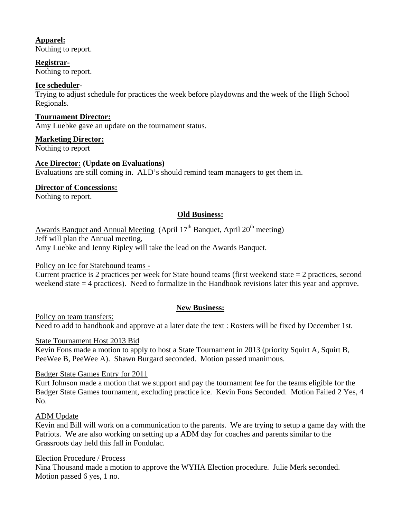# **Apparel:**

Nothing to report.

# **Registrar-**

Nothing to report.

### **Ice scheduler-**

Trying to adjust schedule for practices the week before playdowns and the week of the High School Regionals.

### **Tournament Director:**

Amy Luebke gave an update on the tournament status.

### **Marketing Director:**

Nothing to report

### **Ace Director: (Update on Evaluations)**

Evaluations are still coming in. ALD's should remind team managers to get them in.

### **Director of Concessions:**

Nothing to report.

# **Old Business:**

Awards Banquet and Annual Meeting (April  $17<sup>th</sup>$  Banquet, April  $20<sup>th</sup>$  meeting)

Jeff will plan the Annual meeting,

Amy Luebke and Jenny Ripley will take the lead on the Awards Banquet.

# Policy on Ice for Statebound teams -

Current practice is 2 practices per week for State bound teams (first weekend state = 2 practices, second weekend state = 4 practices). Need to formalize in the Handbook revisions later this year and approve.

# **New Business:**

Policy on team transfers: Need to add to handbook and approve at a later date the text : Rosters will be fixed by December 1st.

#### State Tournament Host 2013 Bid

Kevin Fons made a motion to apply to host a State Tournament in 2013 (priority Squirt A, Squirt B, PeeWee B, PeeWee A). Shawn Burgard seconded. Motion passed unanimous.

# Badger State Games Entry for 2011

Kurt Johnson made a motion that we support and pay the tournament fee for the teams eligible for the Badger State Games tournament, excluding practice ice. Kevin Fons Seconded. Motion Failed 2 Yes, 4 No.

# ADM Update

Kevin and Bill will work on a communication to the parents. We are trying to setup a game day with the Patriots. We are also working on setting up a ADM day for coaches and parents similar to the Grassroots day held this fall in Fondulac.

#### Election Procedure / Process

Nina Thousand made a motion to approve the WYHA Election procedure. Julie Merk seconded. Motion passed 6 yes, 1 no.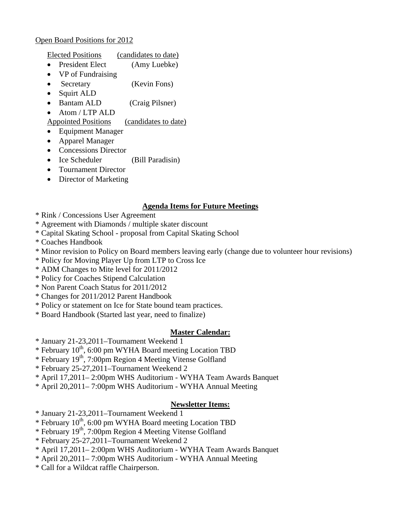# Open Board Positions for 2012

| <b>Elected Positions</b><br>(candidates to date) |
|--------------------------------------------------|
|--------------------------------------------------|

- President Elect (Amy Luebke)
- VP of Fundraising
- Secretary (Kevin Fons)
- Squirt ALD
- Bantam ALD (Craig Pilsner)
- Atom / LTP ALD

Appointed Positions (candidates to date)

- Equipment Manager
- Apparel Manager
- Concessions Director
- Ice Scheduler (Bill Paradisin)
- Tournament Director
- Director of Marketing

# **Agenda Items for Future Meetings**

- \* Rink / Concessions User Agreement
- \* Agreement with Diamonds / multiple skater discount
- \* Capital Skating School proposal from Capital Skating School
- \* Coaches Handbook
- \* Minor revision to Policy on Board members leaving early (change due to volunteer hour revisions)
- \* Policy for Moving Player Up from LTP to Cross Ice
- \* ADM Changes to Mite level for 2011/2012
- \* Policy for Coaches Stipend Calculation
- \* Non Parent Coach Status for 2011/2012
- \* Changes for 2011/2012 Parent Handbook
- \* Policy or statement on Ice for State bound team practices.
- \* Board Handbook (Started last year, need to finalize)

# **Master Calendar:**

- \* January 21-23,2011–Tournament Weekend 1
- \* February  $10^{th}$ , 6:00 pm WYHA Board meeting Location TBD
- \* February 19th, 7:00pm Region 4 Meeting Vitense Golfland
- \* February 25-27,2011–Tournament Weekend 2
- \* April 17,2011– 2:00pm WHS Auditorium WYHA Team Awards Banquet
- \* April 20,2011– 7:00pm WHS Auditorium WYHA Annual Meeting

# **Newsletter Items:**

- \* January 21-23,2011–Tournament Weekend 1
- \* February 10<sup>th</sup>, 6:00 pm WYHA Board meeting Location TBD
- \* February 19th, 7:00pm Region 4 Meeting Vitense Golfland
- \* February 25-27,2011–Tournament Weekend 2
- \* April 17,2011– 2:00pm WHS Auditorium WYHA Team Awards Banquet
- \* April 20,2011– 7:00pm WHS Auditorium WYHA Annual Meeting
- \* Call for a Wildcat raffle Chairperson.